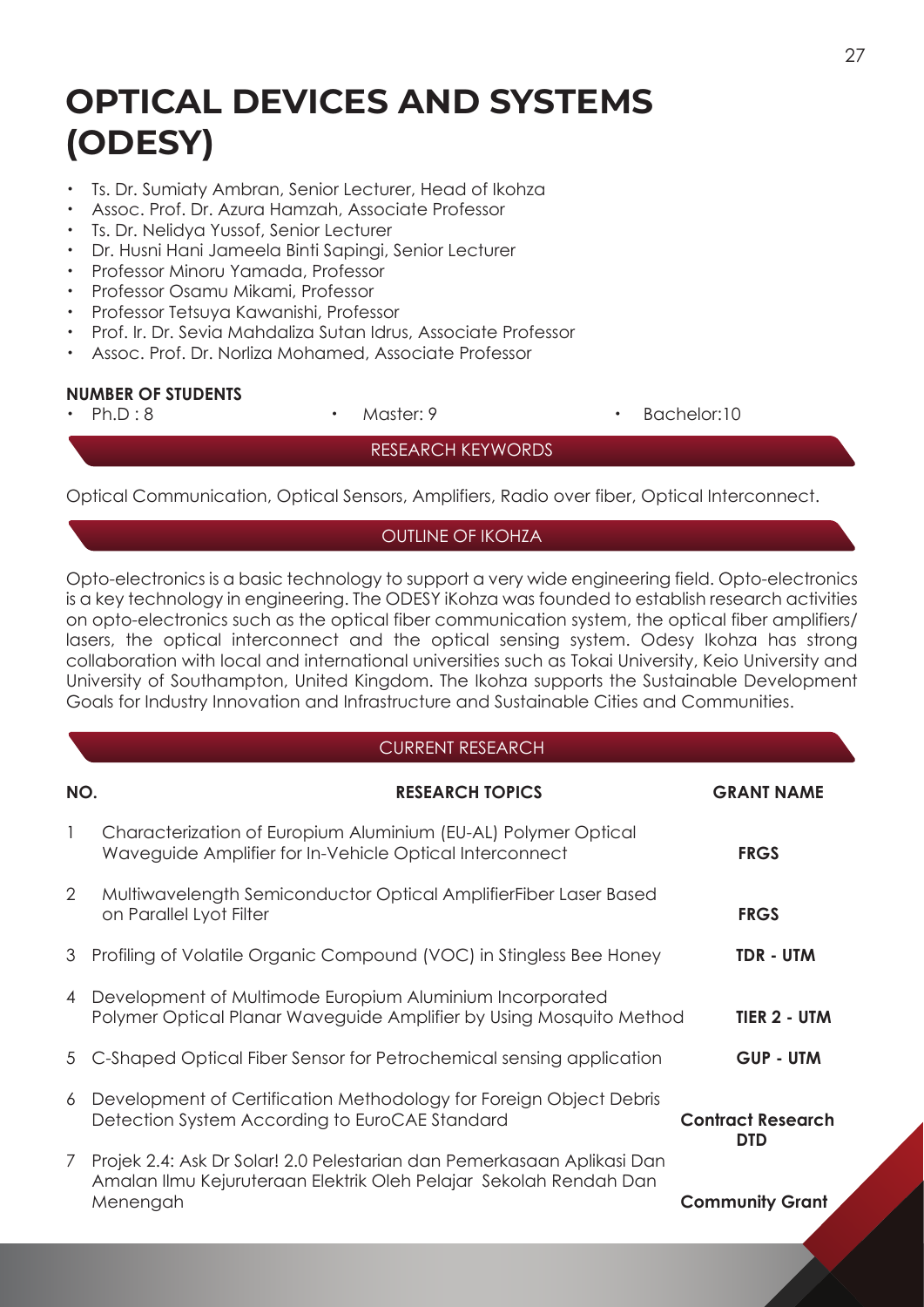# **OPTICAL DEVICES AND SYSTEMS (ODESY)**

- ・ Ts. Dr. Sumiaty Ambran, Senior Lecturer, Head of Ikohza
- Assoc. Prof. Dr. Azura Hamzah, Associate Professor
- ・ Ts. Dr. Nelidya Yussof, Senior Lecturer
- ・ Dr. Husni Hani Jameela Binti Sapingi, Senior Lecturer
- ・ Professor Minoru Yamada, Professor
- ・ Professor Osamu Mikami, Professor
- ・ Professor Tetsuya Kawanishi, Professor
- ・ Prof. Ir. Dr. Sevia Mahdaliza Sutan Idrus, Associate Professor
- Assoc. Prof. Dr. Norliza Mohamed, Associate Professor

#### **NUMBER OF STUDENTS**

・ Ph.D : 8 ・ Master: 9 ・ Bachelor:10

RESEARCH KEYWORDS

Optical Communication, Optical Sensors, Amplifiers, Radio over fiber, Optical Interconnect.

# OUTLINE OF IKOHZA

Opto-electronics is a basic technology to support a very wide engineering field. Opto-electronics is a key technology in engineering. The ODESY iKohza was founded to establish research activities on opto-electronics such as the optical fiber communication system, the optical fiber amplifiers/ lasers, the optical interconnect and the optical sensing system. Odesy Ikohza has strong collaboration with local and international universities such as Tokai University, Keio University and University of Southampton, United Kingdom. The Ikohza supports the Sustainable Development Goals for Industry Innovation and Infrastructure and Sustainable Cities and Communities.

#### CURRENT RESEARCH

| NO.            | <b>RESEARCH TOPICS</b>                                                                                                                                  | <b>GRANT NAME</b>               |
|----------------|---------------------------------------------------------------------------------------------------------------------------------------------------------|---------------------------------|
| $\mathbf{1}$   | Characterization of Europium Aluminium (EU-AL) Polymer Optical<br>Waveguide Amplifier for In-Vehicle Optical Interconnect                               | <b>FRGS</b>                     |
| $\overline{2}$ | Multiwavelength Semiconductor Optical AmplifierFiber Laser Based<br>on Parallel Lyot Filter                                                             | <b>FRGS</b>                     |
| 3              | Profiling of Volatile Organic Compound (VOC) in Stingless Bee Honey                                                                                     | TDR - UTM                       |
| 4              | Development of Multimode Europium Aluminium Incorporated<br>Polymer Optical Planar Waveguide Amplifier by Using Mosquito Method                         | TIER 2 - UTM                    |
|                | 5 C-Shaped Optical Fiber Sensor for Petrochemical sensing application                                                                                   | <b>GUP - UTM</b>                |
| 6              | Development of Certification Methodology for Foreign Object Debris<br>Detection System According to EuroCAE Standard                                    | <b>Contract Research</b><br>DTD |
| $\mathcal{I}$  | Projek 2.4: Ask Dr Solar! 2.0 Pelestarian dan Pemerkasaan Aplikasi Dan<br>Amalan Ilmu Kejuruteraan Elektrik Oleh Pelajar Sekolah Rendah Dan<br>Menengah | <b>Community Grant</b>          |